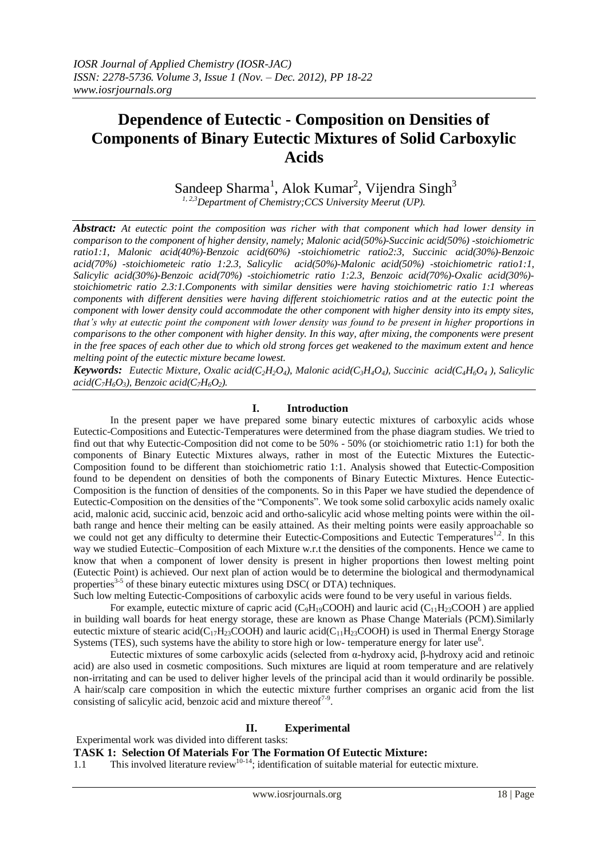# **Dependence of Eutectic - Composition on Densities of Components of Binary Eutectic Mixtures of Solid Carboxylic Acids**

Sandeep Sharma<sup>1</sup>, Alok Kumar<sup>2</sup>, Vijendra Singh<sup>3</sup> *1, 2,3Department of Chemistry;CCS University Meerut (UP).*

*Abstract: At eutectic point the composition was richer with that component which had lower density in comparison to the component of higher density, namely; Malonic acid(50%)-Succinic acid(50%) -stoichiometric ratio1:1, Malonic acid(40%)-Benzoic acid(60%) -stoichiometric ratio2:3, Succinic acid(30%)-Benzoic acid(70%) -stoichiometeic ratio 1:2.3, Salicylic acid(50%)-Malonic acid(50%) -stoichiometric ratio1:1, Salicylic acid(30%)-Benzoic acid(70%) -stoichiometric ratio 1:2.3, Benzoic acid(70%)-Oxalic acid(30%) stoichiometric ratio 2.3:1.Components with similar densities were having stoichiometric ratio 1:1 whereas components with different densities were having different stoichiometric ratios and at the eutectic point the component with lower density could accommodate the other component with higher density into its empty sites, that's why at eutectic point the component with lower density was found to be present in higher proportions in comparisons to the other component with higher density. In this way, after mixing, the components were present in the free spaces of each other due to which old strong forces get weakened to the maximum extent and hence melting point of the eutectic mixture became lowest.*

**Keywords:** Eutectic Mixture, Oxalic acid(C<sub>2</sub>H<sub>2</sub>O<sub>4</sub>), Malonic acid(C<sub>3</sub>H<sub>4</sub>O<sub>4</sub>), Succinic acid(C<sub>4</sub>H<sub>6</sub>O<sub>4</sub>), Salicylic  $acid(C_7H_6O_3)$ , Benzoic  $acid(C_7H_6O_2)$ .

#### **I. Introduction**

In the present paper we have prepared some binary eutectic mixtures of carboxylic acids whose Eutectic-Compositions and Eutectic-Temperatures were determined from the phase diagram studies. We tried to find out that why Eutectic-Composition did not come to be 50% - 50% (or stoichiometric ratio 1:1) for both the components of Binary Eutectic Mixtures always, rather in most of the Eutectic Mixtures the Eutectic-Composition found to be different than stoichiometric ratio 1:1. Analysis showed that Eutectic-Composition found to be dependent on densities of both the components of Binary Eutectic Mixtures. Hence Eutectic-Composition is the function of densities of the components. So in this Paper we have studied the dependence of Eutectic-Composition on the densities of the "Components". We took some solid carboxylic acids namely oxalic acid, malonic acid, succinic acid, benzoic acid and ortho-salicylic acid whose melting points were within the oilbath range and hence their melting can be easily attained. As their melting points were easily approachable so we could not get any difficulty to determine their Eutectic-Compositions and Eutectic Temperatures<sup>1,2</sup>. In this way we studied Eutectic–Composition of each Mixture w.r.t the densities of the components. Hence we came to know that when a component of lower density is present in higher proportions then lowest melting point (Eutectic Point) is achieved. Our next plan of action would be to determine the biological and thermodynamical properties<sup>3-5</sup> of these binary eutectic mixtures using DSC( or DTA) techniques. Such low melting Eutectic-Compositions of carboxylic acids were found to be very useful in various fields.

For example, eutectic mixture of capric acid (C<sub>9</sub>H<sub>19</sub>COOH) and lauric acid (C<sub>11</sub>H<sub>23</sub>COOH) are applied in building wall boards for heat energy storage, these are known as Phase Change Materials (PCM).Similarly eutectic mixture of stearic acid( $C_{17}H_{23}COOH$ ) and lauric acid( $C_{11}H_{23}COOH$ ) is used in Thermal Energy Storage Systems (TES), such systems have the ability to store high or low- temperature energy for later use<sup>6</sup>.

Eutectic mixtures of some carboxylic acids (selected from α-hydroxy acid, β-hydroxy acid and retinoic acid) are also used in cosmetic compositions. Such mixtures are liquid at room temperature and are relatively non-irritating and can be used to deliver higher levels of the principal acid than it would ordinarily be possible. A hair/scalp care composition in which the eutectic mixture further comprises an organic acid from the list consisting of salicylic acid, benzoic acid and mixture thereof $7-9$ .

#### **II. Experimental**

Experimental work was divided into different tasks:

**TASK 1: Selection Of Materials For The Formation Of Eutectic Mixture:**

1.1 This involved literature review<sup>10-14</sup>; identification of suitable material for eutectic mixture.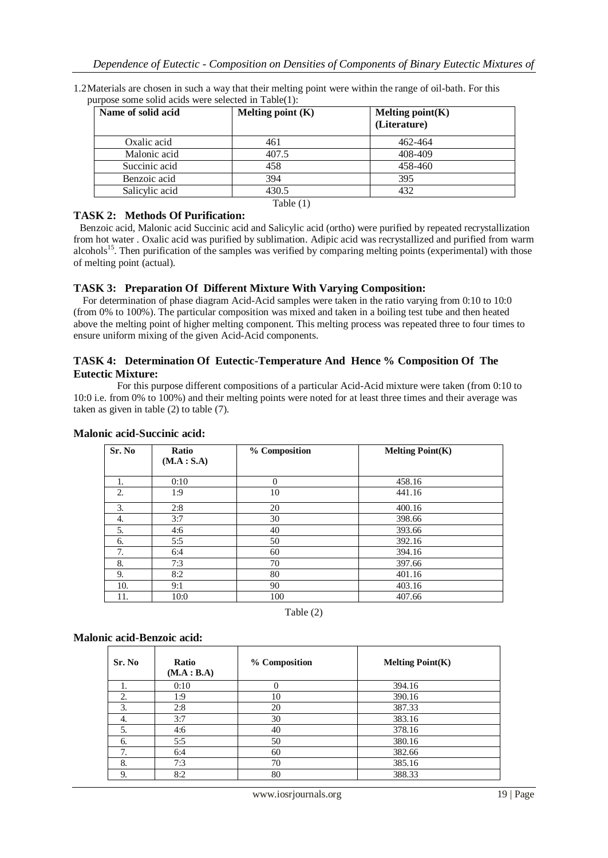| 1.2 Materials are chosen in such a way that their melting point were within the range of oil-bath. For this |  |
|-------------------------------------------------------------------------------------------------------------|--|
| purpose some solid acids were selected in Table(1):                                                         |  |

| Name of solid acid | Melting point $(K)$ | Melting $point(K)$<br>(Literature) |
|--------------------|---------------------|------------------------------------|
| Oxalic acid        | 461                 | 462-464                            |
| Malonic acid       | 407.5               | 408-409                            |
| Succinic acid      | 458                 | 458-460                            |
| Benzoic acid       | 394                 | 395                                |
| Salicylic acid     | 430.5               | 432                                |
|                    | Table $(1)$         |                                    |

#### **TASK 2: Methods Of Purification:**

Benzoic acid, Malonic acid Succinic acid and Salicylic acid (ortho) were purified by repeated recrystallization from hot water . Oxalic acid was purified by sublimation. Adipic acid was recrystallized and purified from warm alcohols<sup>15</sup>. Then purification of the samples was verified by comparing melting points (experimental) with those of melting point (actual).

## **TASK 3: Preparation Of Different Mixture With Varying Composition:**

 For determination of phase diagram Acid-Acid samples were taken in the ratio varying from 0:10 to 10:0 (from 0% to 100%). The particular composition was mixed and taken in a boiling test tube and then heated above the melting point of higher melting component. This melting process was repeated three to four times to ensure uniform mixing of the given Acid-Acid components.

#### **TASK 4: Determination Of Eutectic-Temperature And Hence % Composition Of The Eutectic Mixture:**

 For this purpose different compositions of a particular Acid-Acid mixture were taken (from 0:10 to 10:0 i.e. from 0% to 100%) and their melting points were noted for at least three times and their average was taken as given in table (2) to table (7).

| Sr. No           | <b>Ratio</b><br>(M.A : S.A) | % Composition | <b>Melting Point(K)</b> |
|------------------|-----------------------------|---------------|-------------------------|
| 1.               | 0:10                        | $\Omega$      | 458.16                  |
| 2.               | 1:9                         | 10            | 441.16                  |
| $\mathfrak{Z}$ . | 2:8                         | 20            | 400.16                  |
| 4.               | 3:7                         | 30            | 398.66                  |
| 5.               | 4:6                         | 40            | 393.66                  |
| 6.               | 5:5                         | 50            | 392.16                  |
| 7.               | 6:4                         | 60            | 394.16                  |
| 8.               | 7:3                         | 70            | 397.66                  |
| 9.               | 8:2                         | 80            | 401.16                  |
| 10.              | 9:1                         | 90            | 403.16                  |
| 11.              | 10:0                        | 100           | 407.66                  |

#### **Malonic acid-Succinic acid:**



#### **Malonic acid-Benzoic acid:**

| Sr. No | Ratio<br>(M.A : B.A) | % Composition | Melting $Point(K)$ |
|--------|----------------------|---------------|--------------------|
|        | 0:10                 | $\theta$      | 394.16             |
| 2.     | 1:9                  | 10            | 390.16             |
| 3.     | 2:8                  | 20            | 387.33             |
| 4.     | 3:7                  | 30            | 383.16             |
| 5.     | 4:6                  | 40            | 378.16             |
| 6.     | 5:5                  | 50            | 380.16             |
| 7.     | 6:4                  | 60            | 382.66             |
| 8.     | 7:3                  | 70            | 385.16             |
| 9.     | 8:2                  | 80            | 388.33             |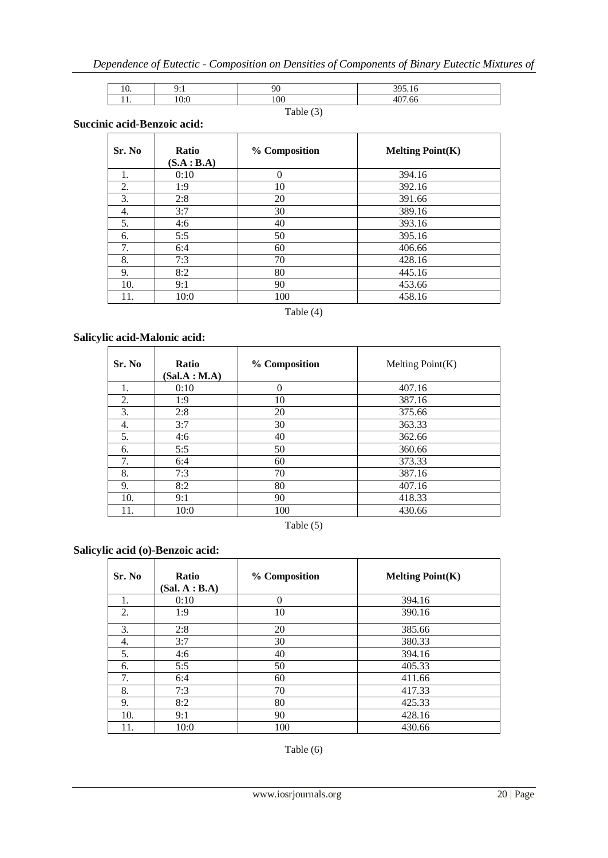| $\cdot \cdot$ | Ω.<br>, <u>. .</u> | $\alpha$ | 205.16            |
|---------------|--------------------|----------|-------------------|
| .             |                    | $\Omega$ | 407<br>- -<br>.66 |

# Table (3)

## **Succinic acid-Benzoic acid:**

| Sr. No | <b>Ratio</b><br>(S.A : B.A) | % Composition | <b>Melting Point(K)</b> |
|--------|-----------------------------|---------------|-------------------------|
| 1.     | 0:10                        | $\Omega$      | 394.16                  |
| 2.     | 1:9                         | 10            | 392.16                  |
| 3.     | 2:8                         | 20            | 391.66                  |
| 4.     | 3:7                         | 30            | 389.16                  |
| 5.     | 4:6                         | 40            | 393.16                  |
| 6.     | 5:5                         | 50            | 395.16                  |
| 7.     | 6:4                         | 60            | 406.66                  |
| 8.     | 7:3                         | 70            | 428.16                  |
| 9.     | 8:2                         | 80            | 445.16                  |
| 10.    | 9:1                         | 90            | 453.66                  |
| 11.    | 10:0                        | 100           | 458.16                  |

## Table (4)

## **Salicylic acid-Malonic acid:**

| Sr. No | <b>Ratio</b><br>(Sal.A : M.A) | % Composition | Melting $Point(K)$ |
|--------|-------------------------------|---------------|--------------------|
| 1.     | 0:10                          | $\Omega$      | 407.16             |
| 2.     | 1:9                           | 10            | 387.16             |
| 3.     | 2:8                           | 20            | 375.66             |
| 4.     | 3:7                           | 30            | 363.33             |
| 5.     | 4:6                           | 40            | 362.66             |
| 6.     | 5:5                           | 50            | 360.66             |
| 7.     | 6:4                           | 60            | 373.33             |
| 8.     | 7:3                           | 70            | 387.16             |
| 9.     | 8:2                           | 80            | 407.16             |
| 10.    | 9:1                           | 90            | 418.33             |
| 11.    | 10:0                          | 100           | 430.66             |

Table (5)

# **Salicylic acid (o)-Benzoic acid:**

| Sr. No | <b>Ratio</b><br>(Sal. A : B.A) | % Composition | <b>Melting Point(K)</b> |
|--------|--------------------------------|---------------|-------------------------|
| 1.     | 0:10                           | $\Omega$      | 394.16                  |
| 2.     | 1:9                            | 10            | 390.16                  |
| 3.     | 2:8                            | 20            | 385.66                  |
| 4.     | 3:7                            | 30            | 380.33                  |
| 5.     | 4:6                            | 40            | 394.16                  |
| 6.     | 5:5                            | 50            | 405.33                  |
| 7.     | 6:4                            | 60            | 411.66                  |
| 8.     | 7:3                            | 70            | 417.33                  |
| 9.     | 8:2                            | 80            | 425.33                  |
| 10.    | 9:1                            | 90            | 428.16                  |
| 11.    | 10:0                           | 100           | 430.66                  |

Table (6)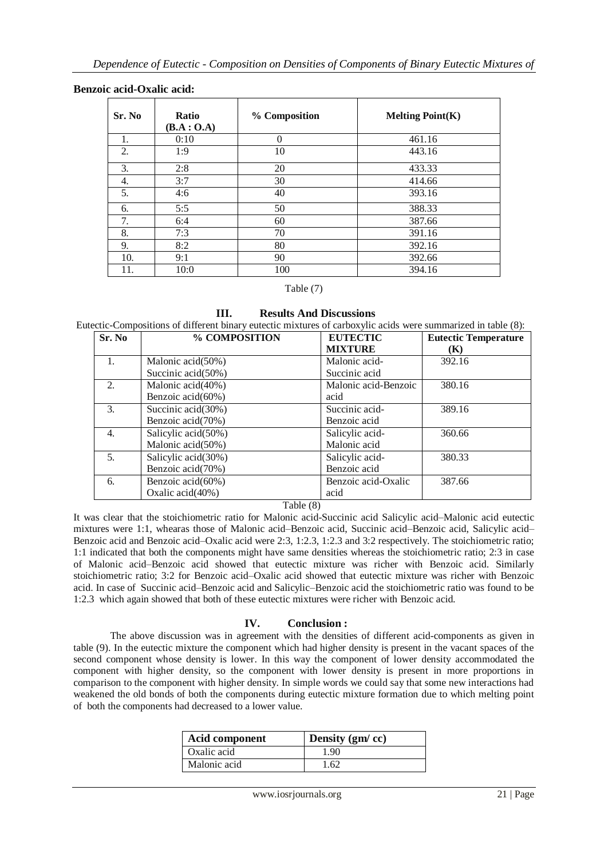#### **Benzoic acid-Oxalic acid:**

| Sr. No | <b>Ratio</b><br>(B.A : O.A) | % Composition | <b>Melting Point(K)</b> |
|--------|-----------------------------|---------------|-------------------------|
| 1.     | 0:10                        | $\theta$      | 461.16                  |
| 2.     | 1:9                         | 10            | 443.16                  |
| 3.     | 2:8                         | 20            | 433.33                  |
| 4.     | 3:7                         | 30            | 414.66                  |
| 5.     | 4:6                         | 40            | 393.16                  |
| 6.     | 5:5                         | 50            | 388.33                  |
| 7.     | 6:4                         | 60            | 387.66                  |
| 8.     | 7:3                         | 70            | 391.16                  |
| 9.     | 8:2                         | 80            | 392.16                  |
| 10.    | 9:1                         | 90            | 392.66                  |
| 11.    | 10:0                        | 100           | 394.16                  |

#### Table (7)

**III. Results And Discussions**

Eutectic-Compositions of different binary eutectic mixtures of carboxylic acids were summarized in table (8):

| Sr. No | % COMPOSITION       | <b>EUTECTIC</b>      | <b>Eutectic Temperature</b> |
|--------|---------------------|----------------------|-----------------------------|
|        |                     | <b>MIXTURE</b>       | (K)                         |
| 1.     | Malonic acid(50%)   | Malonic acid-        | 392.16                      |
|        | Succinic acid(50%)  | Succinic acid        |                             |
| 2.     | Malonic acid(40%)   | Malonic acid-Benzoic | 380.16                      |
|        | Benzoic acid(60%)   | acid                 |                             |
| 3.     | Succinic acid(30%)  | Succinic acid-       | 389.16                      |
|        | Benzoic acid(70%)   | Benzoic acid         |                             |
| 4.     | Salicylic acid(50%) | Salicylic acid-      | 360.66                      |
|        | Malonic acid(50%)   | Malonic acid         |                             |
| 5.     | Salicylic acid(30%) | Salicylic acid-      | 380.33                      |
|        | Benzoic acid(70%)   | Benzoic acid         |                             |
| 6.     | Benzoic acid(60%)   | Benzoic acid-Oxalic  | 387.66                      |
|        | Oxalic acid(40%)    | acid                 |                             |

#### Table (8)

It was clear that the stoichiometric ratio for Malonic acid-Succinic acid Salicylic acid–Malonic acid eutectic mixtures were 1:1, whearas those of Malonic acid–Benzoic acid, Succinic acid–Benzoic acid, Salicylic acid– Benzoic acid and Benzoic acid–Oxalic acid were 2:3, 1:2.3, 1:2.3 and 3:2 respectively. The stoichiometric ratio; 1:1 indicated that both the components might have same densities whereas the stoichiometric ratio; 2:3 in case of Malonic acid–Benzoic acid showed that eutectic mixture was richer with Benzoic acid. Similarly stoichiometric ratio; 3:2 for Benzoic acid–Oxalic acid showed that eutectic mixture was richer with Benzoic acid. In case of Succinic acid–Benzoic acid and Salicylic–Benzoic acid the stoichiometric ratio was found to be 1:2.3 which again showed that both of these eutectic mixtures were richer with Benzoic acid.

#### **IV. Conclusion :**

The above discussion was in agreement with the densities of different acid-components as given in table (9). In the eutectic mixture the component which had higher density is present in the vacant spaces of the second component whose density is lower. In this way the component of lower density accommodated the component with higher density, so the component with lower density is present in more proportions in comparison to the component with higher density. In simple words we could say that some new interactions had weakened the old bonds of both the components during eutectic mixture formation due to which melting point of both the components had decreased to a lower value.

| Acid component | Density $(gm/cc)$ |
|----------------|-------------------|
| Oxalic acid    | 1.90              |
| Malonic acid   | 1.62              |